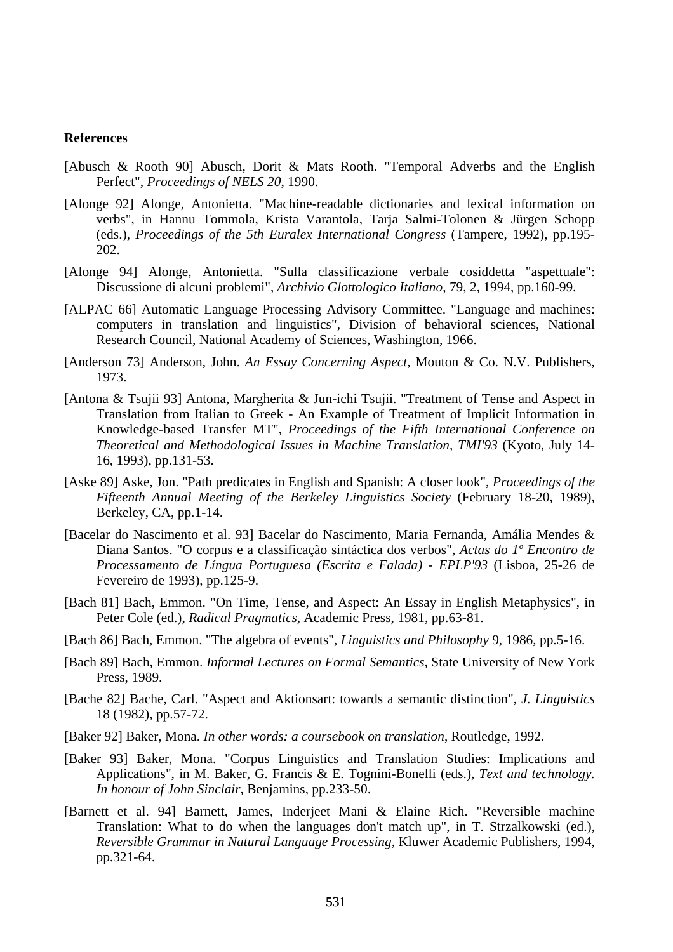## **References**

- [Abusch & Rooth 90] Abusch, Dorit & Mats Rooth. "Temporal Adverbs and the English Perfect", *Proceedings of NELS 20*, 1990.
- [Alonge 92] Alonge, Antonietta. "Machine-readable dictionaries and lexical information on verbs", in Hannu Tommola, Krista Varantola, Tarja Salmi-Tolonen & Jürgen Schopp (eds.), *Proceedings of the 5th Euralex International Congress* (Tampere, 1992), pp.195- 202.
- [Alonge 94] Alonge, Antonietta. "Sulla classificazione verbale cosiddetta "aspettuale": Discussione di alcuni problemi", *Archivio Glottologico Italiano*, 79, 2, 1994, pp.160-99.
- [ALPAC 66] Automatic Language Processing Advisory Committee. "Language and machines: computers in translation and linguistics", Division of behavioral sciences, National Research Council, National Academy of Sciences, Washington, 1966.
- [Anderson 73] Anderson, John. *An Essay Concerning Aspect,* Mouton & Co. N.V. Publishers, 1973.
- [Antona & Tsujii 93] Antona, Margherita & Jun-ichi Tsujii. "Treatment of Tense and Aspect in Translation from Italian to Greek - An Example of Treatment of Implicit Information in Knowledge-based Transfer MT", *Proceedings of the Fifth International Conference on Theoretical and Methodological Issues in Machine Translation, TMI'93* (Kyoto, July 14- 16, 1993), pp.131-53.
- [Aske 89] Aske, Jon. "Path predicates in English and Spanish: A closer look", *Proceedings of the Fifteenth Annual Meeting of the Berkeley Linguistics Society* (February 18-20, 1989), Berkeley, CA, pp.1-14.
- [Bacelar do Nascimento et al. 93] Bacelar do Nascimento, Maria Fernanda, Amália Mendes & Diana Santos. "O corpus e a classificação sintáctica dos verbos", *Actas do 1º Encontro de Processamento de Língua Portuguesa (Escrita e Falada) - EPLP'93* (Lisboa, 25-26 de Fevereiro de 1993), pp.125-9.
- [Bach 81] Bach, Emmon. "On Time, Tense, and Aspect: An Essay in English Metaphysics", in Peter Cole (ed.), *Radical Pragmatics,* Academic Press, 1981, pp.63-81.
- [Bach 86] Bach, Emmon. "The algebra of events", *Linguistics and Philosophy* 9, 1986, pp.5-16.
- [Bach 89] Bach, Emmon. *Informal Lectures on Formal Semantics,* State University of New York Press, 1989.
- [Bache 82] Bache, Carl. "Aspect and Aktionsart: towards a semantic distinction", *J. Linguistics*  18 (1982), pp.57-72.
- [Baker 92] Baker, Mona. *In other words: a coursebook on translation*, Routledge, 1992.
- [Baker 93] Baker, Mona. "Corpus Linguistics and Translation Studies: Implications and Applications", in M. Baker, G. Francis & E. Tognini-Bonelli (eds.), *Text and technology. In honour of John Sinclair*, Benjamins, pp.233-50.
- [Barnett et al. 94] Barnett, James, Inderjeet Mani & Elaine Rich. "Reversible machine Translation: What to do when the languages don't match up", in T. Strzalkowski (ed.), *Reversible Grammar in Natural Language Processing,* Kluwer Academic Publishers, 1994, pp.321-64.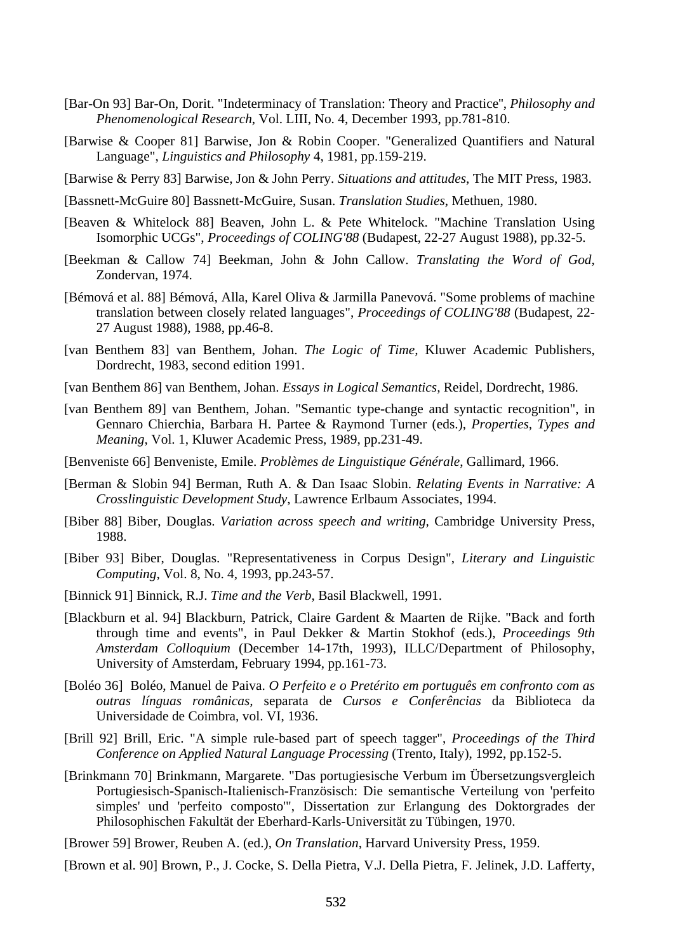- [Bar-On 93] Bar-On, Dorit. "Indeterminacy of Translation: Theory and Practice'', *Philosophy and Phenomenological Research*, Vol. LIII, No. 4, December 1993, pp.781-810.
- [Barwise & Cooper 81] Barwise, Jon & Robin Cooper. "Generalized Quantifiers and Natural Language", *Linguistics and Philosophy* 4, 1981, pp.159-219.
- [Barwise & Perry 83] Barwise, Jon & John Perry. *Situations and attitudes*, The MIT Press, 1983.
- [Bassnett-McGuire 80] Bassnett-McGuire, Susan. *Translation Studies*, Methuen, 1980.
- [Beaven & Whitelock 88] Beaven, John L. & Pete Whitelock. "Machine Translation Using Isomorphic UCGs", *Proceedings of COLING'88* (Budapest, 22-27 August 1988), pp.32-5.
- [Beekman & Callow 74] Beekman, John & John Callow. *Translating the Word of God*, Zondervan, 1974.
- [Bémová et al. 88] Bémová, Alla, Karel Oliva & Jarmilla Panevová. "Some problems of machine translation between closely related languages", *Proceedings of COLING'88* (Budapest, 22- 27 August 1988), 1988, pp.46-8.
- [van Benthem 83] van Benthem, Johan. *The Logic of Time,* Kluwer Academic Publishers, Dordrecht, 1983, second edition 1991.
- [van Benthem 86] van Benthem, Johan. *Essays in Logical Semantics,* Reidel, Dordrecht, 1986.
- [van Benthem 89] van Benthem, Johan. "Semantic type-change and syntactic recognition", in Gennaro Chierchia, Barbara H. Partee & Raymond Turner (eds.), *Properties, Types and Meaning*, Vol. 1, Kluwer Academic Press, 1989, pp.231-49.
- [Benveniste 66] Benveniste, Emile. *Problèmes de Linguistique Générale*, Gallimard, 1966.
- [Berman & Slobin 94] Berman, Ruth A. & Dan Isaac Slobin. *Relating Events in Narrative: A Crosslinguistic Development Study*, Lawrence Erlbaum Associates, 1994.
- [Biber 88] Biber, Douglas. *Variation across speech and writing,* Cambridge University Press, 1988.
- [Biber 93] Biber, Douglas. "Representativeness in Corpus Design", *Literary and Linguistic Computing*, Vol. 8, No. 4, 1993, pp.243-57.
- [Binnick 91] Binnick, R.J. *Time and the Verb*, Basil Blackwell, 1991.
- [Blackburn et al. 94] Blackburn, Patrick, Claire Gardent & Maarten de Rijke. "Back and forth through time and events", in Paul Dekker & Martin Stokhof (eds.), *Proceedings 9th Amsterdam Colloquium* (December 14-17th, 1993), ILLC/Department of Philosophy, University of Amsterdam, February 1994, pp.161-73.
- [Boléo 36] Boléo, Manuel de Paiva. *O Perfeito e o Pretérito em português em confronto com as outras línguas românicas,* separata de *Cursos e Conferências* da Biblioteca da Universidade de Coimbra, vol. VI, 1936.
- [Brill 92] Brill, Eric. "A simple rule-based part of speech tagger", *Proceedings of the Third Conference on Applied Natural Language Processing* (Trento, Italy), 1992, pp.152-5.
- [Brinkmann 70] Brinkmann, Margarete. "Das portugiesische Verbum im Übersetzungsvergleich Portugiesisch-Spanisch-Italienisch-Französisch: Die semantische Verteilung von 'perfeito simples' und 'perfeito composto'", Dissertation zur Erlangung des Doktorgrades der Philosophischen Fakultät der Eberhard-Karls-Universität zu Tübingen, 1970.

[Brower 59] Brower, Reuben A. (ed.), *On Translation*, Harvard University Press, 1959.

[Brown et al. 90] Brown, P., J. Cocke, S. Della Pietra, V.J. Della Pietra, F. Jelinek, J.D. Lafferty,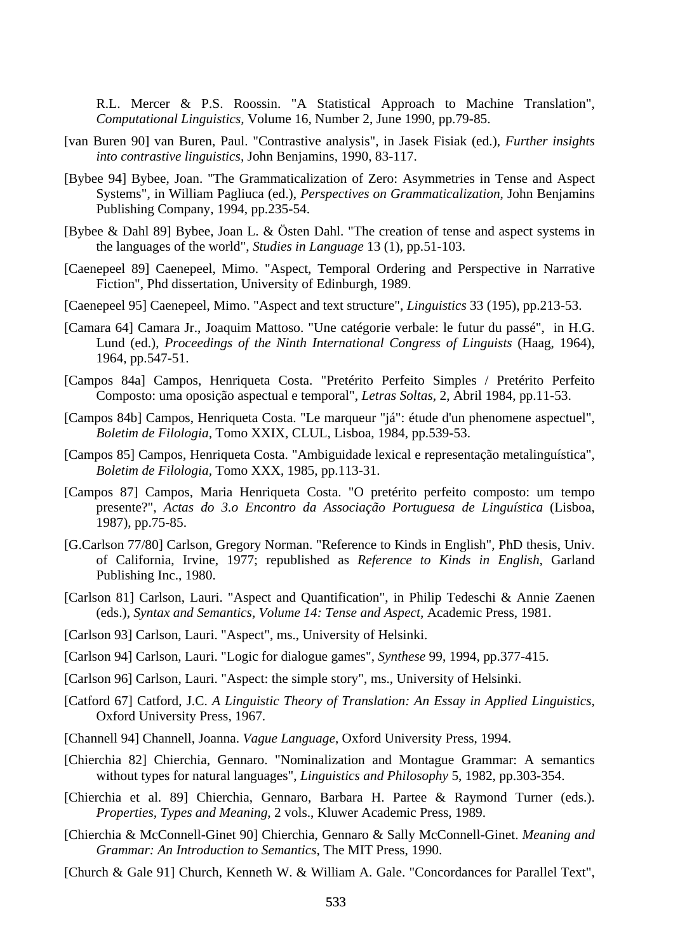R.L. Mercer & P.S. Roossin. "A Statistical Approach to Machine Translation", *Computational Linguistics,* Volume 16, Number 2, June 1990, pp.79-85.

- [van Buren 90] van Buren, Paul. "Contrastive analysis", in Jasek Fisiak (ed.), *Further insights into contrastive linguistics,* John Benjamins, 1990, 83-117.
- [Bybee 94] Bybee, Joan. "The Grammaticalization of Zero: Asymmetries in Tense and Aspect Systems", in William Pagliuca (ed.), *Perspectives on Grammaticalization*, John Benjamins Publishing Company, 1994, pp.235-54.
- [Bybee & Dahl 89] Bybee, Joan L. & Östen Dahl. "The creation of tense and aspect systems in the languages of the world", *Studies in Language* 13 (1), pp.51-103.
- [Caenepeel 89] Caenepeel, Mimo. "Aspect, Temporal Ordering and Perspective in Narrative Fiction", Phd dissertation, University of Edinburgh, 1989.
- [Caenepeel 95] Caenepeel, Mimo. "Aspect and text structure", *Linguistics* 33 (195), pp.213-53.
- [Camara 64] Camara Jr., Joaquim Mattoso. "Une catégorie verbale: le futur du passé", in H.G. Lund (ed.), *Proceedings of the Ninth International Congress of Linguists* (Haag, 1964), 1964, pp.547-51.
- [Campos 84a] Campos, Henriqueta Costa. "Pretérito Perfeito Simples / Pretérito Perfeito Composto: uma oposição aspectual e temporal", *Letras Soltas,* 2, Abril 1984, pp.11-53.
- [Campos 84b] Campos, Henriqueta Costa. "Le marqueur "já": étude d'un phenomene aspectuel", *Boletim de Filologia,* Tomo XXIX, CLUL, Lisboa, 1984, pp.539-53.
- [Campos 85] Campos, Henriqueta Costa. "Ambiguidade lexical e representação metalinguística", *Boletim de Filologia,* Tomo XXX, 1985, pp.113-31.
- [Campos 87] Campos, Maria Henriqueta Costa. "O pretérito perfeito composto: um tempo presente?", *Actas do 3.o Encontro da Associação Portuguesa de Linguística* (Lisboa, 1987), pp.75-85.
- [G.Carlson 77/80] Carlson, Gregory Norman. "Reference to Kinds in English", PhD thesis, Univ. of California, Irvine, 1977; republished as *Reference to Kinds in English*, Garland Publishing Inc., 1980.
- [Carlson 81] Carlson, Lauri. "Aspect and Quantification", in Philip Tedeschi & Annie Zaenen (eds.), *Syntax and Semantics, Volume 14: Tense and Aspect,* Academic Press, 1981.
- [Carlson 93] Carlson, Lauri. "Aspect", ms., University of Helsinki.
- [Carlson 94] Carlson, Lauri. "Logic for dialogue games", *Synthese* 99, 1994, pp.377-415.
- [Carlson 96] Carlson, Lauri. "Aspect: the simple story", ms., University of Helsinki.
- [Catford 67] Catford, J.C. *A Linguistic Theory of Translation: An Essay in Applied Linguistics,*  Oxford University Press, 1967.
- [Channell 94] Channell, Joanna. *Vague Language*, Oxford University Press, 1994.
- [Chierchia 82] Chierchia, Gennaro. "Nominalization and Montague Grammar: A semantics without types for natural languages", *Linguistics and Philosophy* 5, 1982, pp.303-354.
- [Chierchia et al. 89] Chierchia, Gennaro, Barbara H. Partee & Raymond Turner (eds.). *Properties, Types and Meaning*, 2 vols., Kluwer Academic Press, 1989.
- [Chierchia & McConnell-Ginet 90] Chierchia, Gennaro & Sally McConnell-Ginet. *Meaning and Grammar: An Introduction to Semantics*, The MIT Press, 1990.
- [Church & Gale 91] Church, Kenneth W. & William A. Gale. "Concordances for Parallel Text",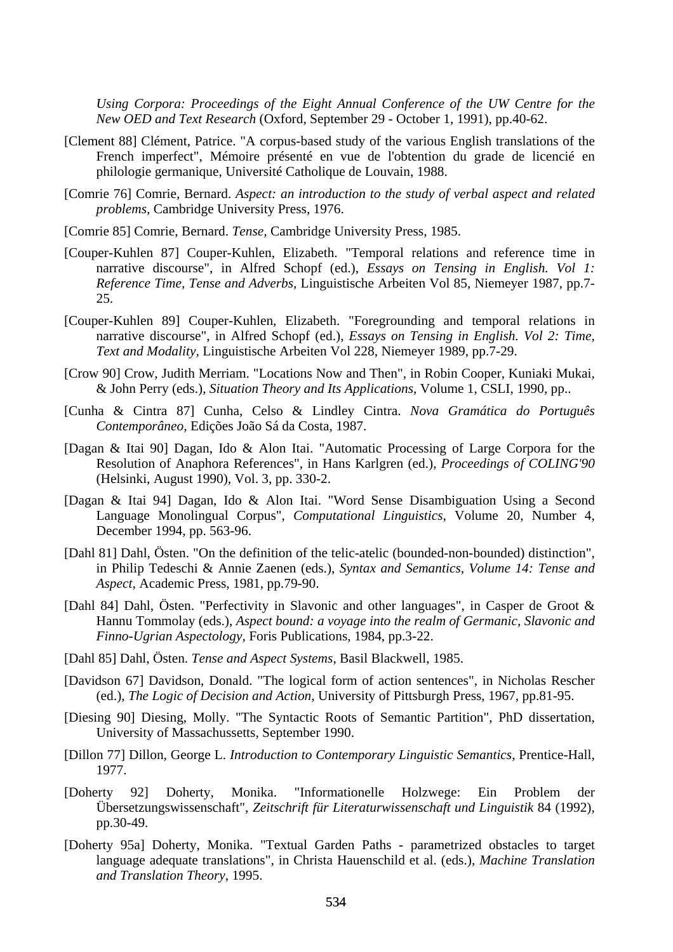*Using Corpora: Proceedings of the Eight Annual Conference of the UW Centre for the New OED and Text Research* (Oxford, September 29 - October 1, 1991), pp.40-62.

- [Clement 88] Clément, Patrice. "A corpus-based study of the various English translations of the French imperfect", Mémoire présenté en vue de l'obtention du grade de licencié en philologie germanique, Université Catholique de Louvain, 1988.
- [Comrie 76] Comrie, Bernard. *Aspect: an introduction to the study of verbal aspect and related problems,* Cambridge University Press, 1976.
- [Comrie 85] Comrie, Bernard. *Tense,* Cambridge University Press, 1985.
- [Couper-Kuhlen 87] Couper-Kuhlen, Elizabeth. "Temporal relations and reference time in narrative discourse", in Alfred Schopf (ed.), *Essays on Tensing in English. Vol 1: Reference Time, Tense and Adverbs,* Linguistische Arbeiten Vol 85, Niemeyer 1987, pp.7- 25.
- [Couper-Kuhlen 89] Couper-Kuhlen, Elizabeth. "Foregrounding and temporal relations in narrative discourse", in Alfred Schopf (ed.), *Essays on Tensing in English. Vol 2: Time, Text and Modality,* Linguistische Arbeiten Vol 228, Niemeyer 1989, pp.7-29.
- [Crow 90] Crow, Judith Merriam. "Locations Now and Then", in Robin Cooper, Kuniaki Mukai, & John Perry (eds.), *Situation Theory and Its Applications*, Volume 1, CSLI, 1990, pp..
- [Cunha & Cintra 87] Cunha, Celso & Lindley Cintra. *Nova Gramática do Português Contemporâneo,* Edições João Sá da Costa, 1987.
- [Dagan & Itai 90] Dagan, Ido & Alon Itai. "Automatic Processing of Large Corpora for the Resolution of Anaphora References", in Hans Karlgren (ed.), *Proceedings of COLING'90* (Helsinki, August 1990), Vol. 3, pp. 330-2.
- [Dagan & Itai 94] Dagan, Ido & Alon Itai. "Word Sense Disambiguation Using a Second Language Monolingual Corpus", *Computational Linguistics*, Volume 20, Number 4, December 1994, pp. 563-96.
- [Dahl 81] Dahl, Östen. "On the definition of the telic-atelic (bounded-non-bounded) distinction", in Philip Tedeschi & Annie Zaenen (eds.), *Syntax and Semantics, Volume 14: Tense and Aspect,* Academic Press, 1981, pp.79-90.
- [Dahl 84] Dahl, Östen. "Perfectivity in Slavonic and other languages", in Casper de Groot & Hannu Tommolay (eds.), *Aspect bound: a voyage into the realm of Germanic, Slavonic and Finno-Ugrian Aspectology,* Foris Publications, 1984, pp.3-22.
- [Dahl 85] Dahl, Östen. *Tense and Aspect Systems*, Basil Blackwell, 1985.
- [Davidson 67] Davidson, Donald. "The logical form of action sentences", in Nicholas Rescher (ed.), *The Logic of Decision and Action,* University of Pittsburgh Press, 1967, pp.81-95.
- [Diesing 90] Diesing, Molly. "The Syntactic Roots of Semantic Partition", PhD dissertation, University of Massachussetts, September 1990.
- [Dillon 77] Dillon, George L. *Introduction to Contemporary Linguistic Semantics*, Prentice-Hall, 1977.
- [Doherty 92] Doherty, Monika. "Informationelle Holzwege: Ein Problem der Übersetzungswissenschaft", *Zeitschrift für Literaturwissenschaft und Linguistik* 84 (1992), pp.30-49.
- [Doherty 95a] Doherty, Monika. "Textual Garden Paths parametrized obstacles to target language adequate translations", in Christa Hauenschild et al. (eds.), *Machine Translation and Translation Theory*, 1995.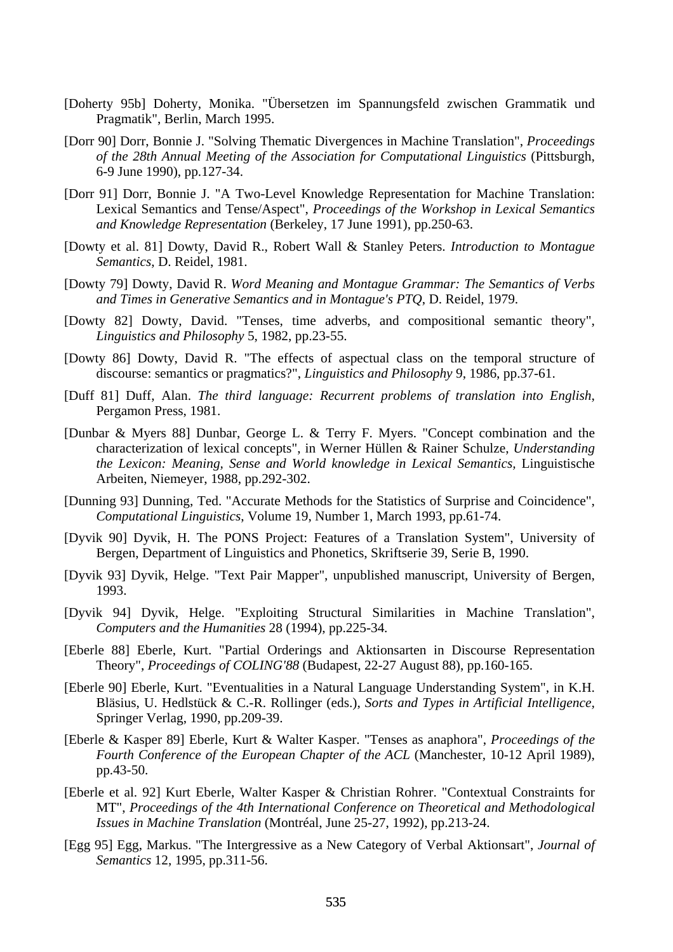- [Doherty 95b] Doherty, Monika. "Übersetzen im Spannungsfeld zwischen Grammatik und Pragmatik", Berlin, March 1995.
- [Dorr 90] Dorr, Bonnie J. "Solving Thematic Divergences in Machine Translation", *Proceedings of the 28th Annual Meeting of the Association for Computational Linguistics* (Pittsburgh, 6-9 June 1990), pp.127-34.
- [Dorr 91] Dorr, Bonnie J. "A Two-Level Knowledge Representation for Machine Translation: Lexical Semantics and Tense/Aspect", *Proceedings of the Workshop in Lexical Semantics and Knowledge Representation* (Berkeley, 17 June 1991), pp.250-63.
- [Dowty et al. 81] Dowty, David R., Robert Wall & Stanley Peters. *Introduction to Montague Semantics*, D. Reidel, 1981.
- [Dowty 79] Dowty, David R. *Word Meaning and Montague Grammar: The Semantics of Verbs and Times in Generative Semantics and in Montague's PTQ*, D. Reidel, 1979.
- [Dowty 82] Dowty, David. "Tenses, time adverbs, and compositional semantic theory", *Linguistics and Philosophy* 5, 1982, pp.23-55.
- [Dowty 86] Dowty, David R. "The effects of aspectual class on the temporal structure of discourse: semantics or pragmatics?", *Linguistics and Philosophy* 9, 1986, pp.37-61.
- [Duff 81] Duff, Alan. *The third language: Recurrent problems of translation into English*, Pergamon Press, 1981.
- [Dunbar & Myers 88] Dunbar, George L. & Terry F. Myers. "Concept combination and the characterization of lexical concepts", in Werner Hüllen & Rainer Schulze, *Understanding the Lexicon: Meaning, Sense and World knowledge in Lexical Semantics,* Linguistische Arbeiten, Niemeyer, 1988, pp.292-302.
- [Dunning 93] Dunning, Ted. "Accurate Methods for the Statistics of Surprise and Coincidence", *Computational Linguistics*, Volume 19, Number 1, March 1993, pp.61-74.
- [Dyvik 90] Dyvik, H. The PONS Project: Features of a Translation System", University of Bergen, Department of Linguistics and Phonetics, Skriftserie 39, Serie B, 1990.
- [Dyvik 93] Dyvik, Helge. "Text Pair Mapper", unpublished manuscript, University of Bergen, 1993.
- [Dyvik 94] Dyvik, Helge. "Exploiting Structural Similarities in Machine Translation", *Computers and the Humanities* 28 (1994), pp.225-34*.*
- [Eberle 88] Eberle, Kurt. "Partial Orderings and Aktionsarten in Discourse Representation Theory", *Proceedings of COLING'88* (Budapest, 22-27 August 88), pp.160-165.
- [Eberle 90] Eberle, Kurt. "Eventualities in a Natural Language Understanding System", in K.H. Bläsius, U. Hedlstück & C.-R. Rollinger (eds.), *Sorts and Types in Artificial Intelligence,*  Springer Verlag, 1990, pp.209-39.
- [Eberle & Kasper 89] Eberle, Kurt & Walter Kasper. "Tenses as anaphora", *Proceedings of the Fourth Conference of the European Chapter of the ACL* (Manchester, 10-12 April 1989), pp.43-50.
- [Eberle et al. 92] Kurt Eberle, Walter Kasper & Christian Rohrer. "Contextual Constraints for MT", *Proceedings of the 4th International Conference on Theoretical and Methodological Issues in Machine Translation* (Montréal, June 25-27, 1992), pp.213-24.
- [Egg 95] Egg, Markus. "The Intergressive as a New Category of Verbal Aktionsart", *Journal of Semantics* 12, 1995, pp.311-56.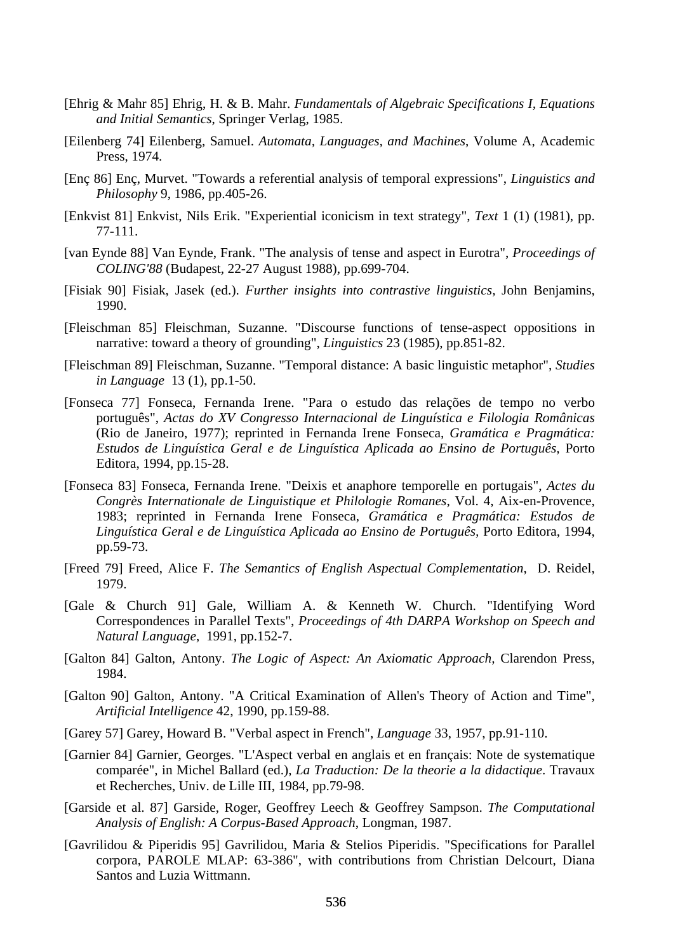- [Ehrig & Mahr 85] Ehrig, H. & B. Mahr. *Fundamentals of Algebraic Specifications I, Equations and Initial Semantics*, Springer Verlag, 1985.
- [Eilenberg 74] Eilenberg, Samuel. *Automata, Languages, and Machines*, Volume A, Academic Press, 1974.
- [Enç 86] Enç, Murvet. "Towards a referential analysis of temporal expressions", *Linguistics and Philosophy* 9, 1986, pp.405-26.
- [Enkvist 81] Enkvist, Nils Erik. "Experiential iconicism in text strategy", *Text* 1 (1) (1981), pp. 77-111.
- [van Eynde 88] Van Eynde, Frank. "The analysis of tense and aspect in Eurotra", *Proceedings of COLING'88* (Budapest, 22-27 August 1988), pp.699-704.
- [Fisiak 90] Fisiak, Jasek (ed.). *Further insights into contrastive linguistics,* John Benjamins, 1990.
- [Fleischman 85] Fleischman, Suzanne. "Discourse functions of tense-aspect oppositions in narrative: toward a theory of grounding", *Linguistics* 23 (1985), pp.851-82.
- [Fleischman 89] Fleischman, Suzanne. "Temporal distance: A basic linguistic metaphor", *Studies in Language* 13 (1), pp.1-50.
- [Fonseca 77] Fonseca, Fernanda Irene. "Para o estudo das relações de tempo no verbo português", *Actas do XV Congresso Internacional de Linguística e Filologia Românicas* (Rio de Janeiro, 1977); reprinted in Fernanda Irene Fonseca, *Gramática e Pragmática: Estudos de Linguística Geral e de Linguística Aplicada ao Ensino de Português,* Porto Editora, 1994, pp.15-28.
- [Fonseca 83] Fonseca, Fernanda Irene. "Deixis et anaphore temporelle en portugais", *Actes du Congrès Internationale de Linguistique et Philologie Romanes*, Vol. 4, Aix-en-Provence, 1983; reprinted in Fernanda Irene Fonseca, *Gramática e Pragmática: Estudos de Linguística Geral e de Linguística Aplicada ao Ensino de Português,* Porto Editora, 1994, pp.59-73.
- [Freed 79] Freed, Alice F. *The Semantics of English Aspectual Complementation*, D. Reidel, 1979.
- [Gale & Church 91] Gale, William A. & Kenneth W. Church. "Identifying Word Correspondences in Parallel Texts", *Proceedings of 4th DARPA Workshop on Speech and Natural Language*, 1991, pp.152-7.
- [Galton 84] Galton, Antony. *The Logic of Aspect: An Axiomatic Approach,* Clarendon Press, 1984.
- [Galton 90] Galton, Antony. "A Critical Examination of Allen's Theory of Action and Time", *Artificial Intelligence* 42, 1990, pp.159-88.
- [Garey 57] Garey, Howard B. "Verbal aspect in French", *Language* 33, 1957, pp.91-110.
- [Garnier 84] Garnier, Georges. "L'Aspect verbal en anglais et en français: Note de systematique comparée", in Michel Ballard (ed.), *La Traduction: De la theorie a la didactique*. Travaux et Recherches, Univ. de Lille III, 1984, pp.79-98.
- [Garside et al. 87] Garside, Roger, Geoffrey Leech & Geoffrey Sampson. *The Computational Analysis of English: A Corpus-Based Approach*, Longman, 1987.
- [Gavrilidou & Piperidis 95] Gavrilidou, Maria & Stelios Piperidis. "Specifications for Parallel corpora, PAROLE MLAP: 63-386", with contributions from Christian Delcourt, Diana Santos and Luzia Wittmann.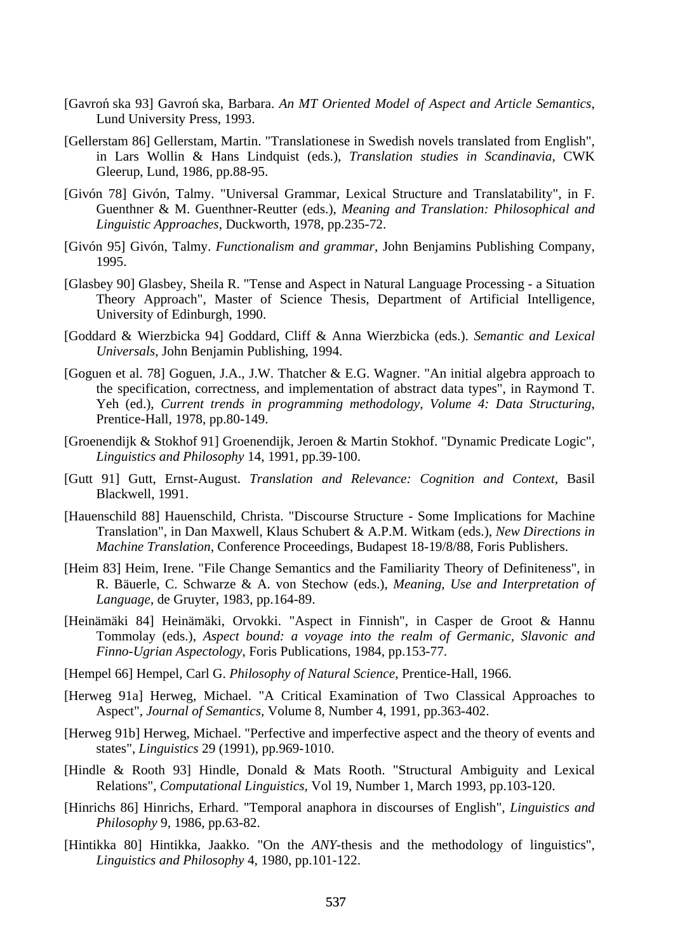- [Gavron´ ska 93] Gavron´ ska, Barbara. An MT Oriented Model of Aspect and Article Semantics, Lund University Press, 1993.
- [Gellerstam 86] Gellerstam, Martin. "Translationese in Swedish novels translated from English", in Lars Wollin & Hans Lindquist (eds.), *Translation studies in Scandinavia*, CWK Gleerup, Lund, 1986, pp.88-95.
- [Givón 78] Givón, Talmy. "Universal Grammar, Lexical Structure and Translatability", in F. Guenthner & M. Guenthner-Reutter (eds.), *Meaning and Translation: Philosophical and Linguistic Approaches,* Duckworth, 1978, pp.235-72.
- [Givón 95] Givón, Talmy. *Functionalism and grammar*, John Benjamins Publishing Company, 1995.
- [Glasbey 90] Glasbey, Sheila R. "Tense and Aspect in Natural Language Processing a Situation Theory Approach", Master of Science Thesis, Department of Artificial Intelligence, University of Edinburgh, 1990.
- [Goddard & Wierzbicka 94] Goddard, Cliff & Anna Wierzbicka (eds.). *Semantic and Lexical Universals*, John Benjamin Publishing, 1994.
- [Goguen et al. 78] Goguen, J.A., J.W. Thatcher & E.G. Wagner. "An initial algebra approach to the specification, correctness, and implementation of abstract data types", in Raymond T. Yeh (ed.), *Current trends in programming methodology, Volume 4: Data Structuring*, Prentice-Hall, 1978, pp.80-149.
- [Groenendijk & Stokhof 91] Groenendijk, Jeroen & Martin Stokhof. "Dynamic Predicate Logic", *Linguistics and Philosophy* 14, 1991, pp.39-100.
- [Gutt 91] Gutt, Ernst-August. *Translation and Relevance: Cognition and Context*, Basil Blackwell, 1991.
- [Hauenschild 88] Hauenschild, Christa. "Discourse Structure Some Implications for Machine Translation", in Dan Maxwell, Klaus Schubert & A.P.M. Witkam (eds.), *New Directions in Machine Translation*, Conference Proceedings, Budapest 18-19/8/88, Foris Publishers.
- [Heim 83] Heim, Irene. "File Change Semantics and the Familiarity Theory of Definiteness", in R. Bäuerle, C. Schwarze & A. von Stechow (eds.), *Meaning, Use and Interpretation of Language*, de Gruyter, 1983, pp.164-89.
- [Heinämäki 84] Heinämäki, Orvokki. "Aspect in Finnish", in Casper de Groot & Hannu Tommolay (eds.), *Aspect bound: a voyage into the realm of Germanic, Slavonic and Finno-Ugrian Aspectology*, Foris Publications, 1984, pp.153-77.
- [Hempel 66] Hempel, Carl G. *Philosophy of Natural Science*, Prentice-Hall, 1966.
- [Herweg 91a] Herweg, Michael. "A Critical Examination of Two Classical Approaches to Aspect", *Journal of Semantics,* Volume 8, Number 4, 1991, pp.363-402.
- [Herweg 91b] Herweg, Michael. "Perfective and imperfective aspect and the theory of events and states", *Linguistics* 29 (1991), pp.969-1010.
- [Hindle & Rooth 93] Hindle, Donald & Mats Rooth. "Structural Ambiguity and Lexical Relations", *Computational Linguistics,* Vol 19, Number 1, March 1993, pp.103-120.
- [Hinrichs 86] Hinrichs, Erhard. "Temporal anaphora in discourses of English", *Linguistics and Philosophy* 9*,* 1986, pp.63-82.
- [Hintikka 80] Hintikka, Jaakko. "On the *ANY-*thesis and the methodology of linguistics", *Linguistics and Philosophy* 4, 1980, pp.101-122.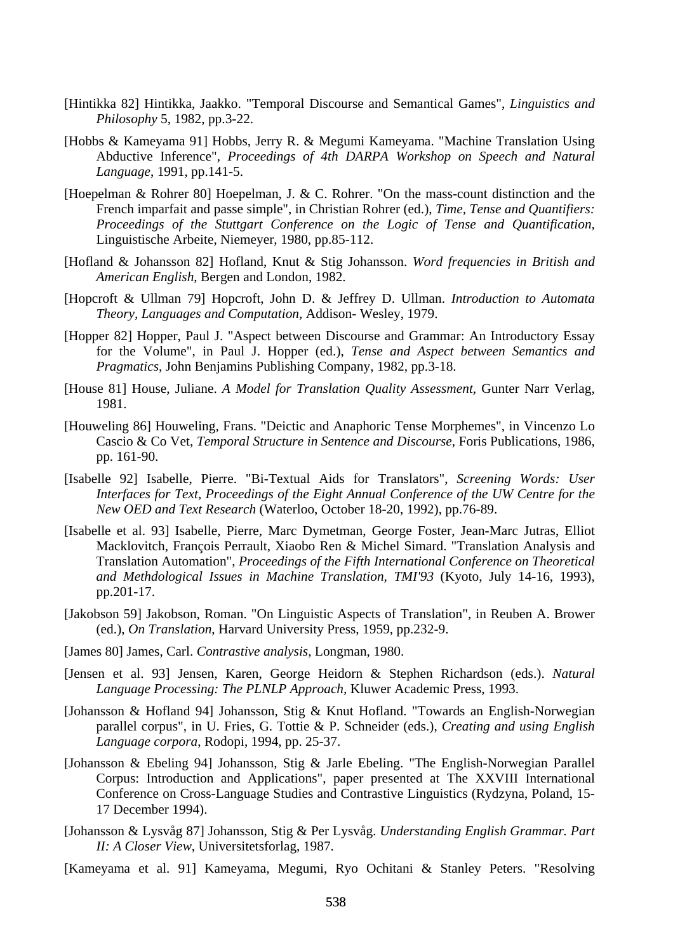- [Hintikka 82] Hintikka, Jaakko. "Temporal Discourse and Semantical Games", *Linguistics and Philosophy* 5, 1982, pp.3-22.
- [Hobbs & Kameyama 91] Hobbs, Jerry R. & Megumi Kameyama. "Machine Translation Using Abductive Inference", *Proceedings of 4th DARPA Workshop on Speech and Natural Language*, 1991, pp.141-5.
- [Hoepelman & Rohrer 80] Hoepelman, J. & C. Rohrer. "On the mass-count distinction and the French imparfait and passe simple", in Christian Rohrer (ed.), *Time, Tense and Quantifiers: Proceedings of the Stuttgart Conference on the Logic of Tense and Quantification,*  Linguistische Arbeite, Niemeyer, 1980, pp.85-112.
- [Hofland & Johansson 82] Hofland, Knut & Stig Johansson. *Word frequencies in British and American English*, Bergen and London, 1982.
- [Hopcroft & Ullman 79] Hopcroft, John D. & Jeffrey D. Ullman. *Introduction to Automata Theory, Languages and Computation*, Addison- Wesley, 1979.
- [Hopper 82] Hopper, Paul J. "Aspect between Discourse and Grammar: An Introductory Essay for the Volume", in Paul J. Hopper (ed.), *Tense and Aspect between Semantics and Pragmatics*, John Benjamins Publishing Company, 1982, pp.3-18.
- [House 81] House, Juliane. *A Model for Translation Quality Assessment,* Gunter Narr Verlag, 1981.
- [Houweling 86] Houweling, Frans. "Deictic and Anaphoric Tense Morphemes", in Vincenzo Lo Cascio & Co Vet, *Temporal Structure in Sentence and Discourse*, Foris Publications, 1986, pp. 161-90.
- [Isabelle 92] Isabelle, Pierre. "Bi-Textual Aids for Translators", *Screening Words: User Interfaces for Text, Proceedings of the Eight Annual Conference of the UW Centre for the New OED and Text Research* (Waterloo, October 18-20, 1992), pp.76-89.
- [Isabelle et al. 93] Isabelle, Pierre, Marc Dymetman, George Foster, Jean-Marc Jutras, Elliot Macklovitch, François Perrault, Xiaobo Ren & Michel Simard. "Translation Analysis and Translation Automation", *Proceedings of the Fifth International Conference on Theoretical and Methdological Issues in Machine Translation, TMI'93* (Kyoto, July 14-16, 1993), pp.201-17.
- [Jakobson 59] Jakobson, Roman. "On Linguistic Aspects of Translation", in Reuben A. Brower (ed.), *On Translation*, Harvard University Press, 1959, pp.232-9.
- [James 80] James, Carl. *Contrastive analysis*, Longman, 1980.
- [Jensen et al. 93] Jensen, Karen, George Heidorn & Stephen Richardson (eds.). *Natural Language Processing: The PLNLP Approach,* Kluwer Academic Press, 1993.
- [Johansson & Hofland 94] Johansson, Stig & Knut Hofland. "Towards an English-Norwegian parallel corpus", in U. Fries, G. Tottie & P. Schneider (eds.), *Creating and using English Language corpora*, Rodopi, 1994, pp. 25-37.
- [Johansson & Ebeling 94] Johansson, Stig & Jarle Ebeling. "The English-Norwegian Parallel Corpus: Introduction and Applications", paper presented at The XXVIII International Conference on Cross-Language Studies and Contrastive Linguistics (Rydzyna, Poland, 15- 17 December 1994).
- [Johansson & Lysvåg 87] Johansson, Stig & Per Lysvåg. *Understanding English Grammar. Part II: A Closer View*, Universitetsforlag, 1987.
- [Kameyama et al. 91] Kameyama, Megumi, Ryo Ochitani & Stanley Peters. "Resolving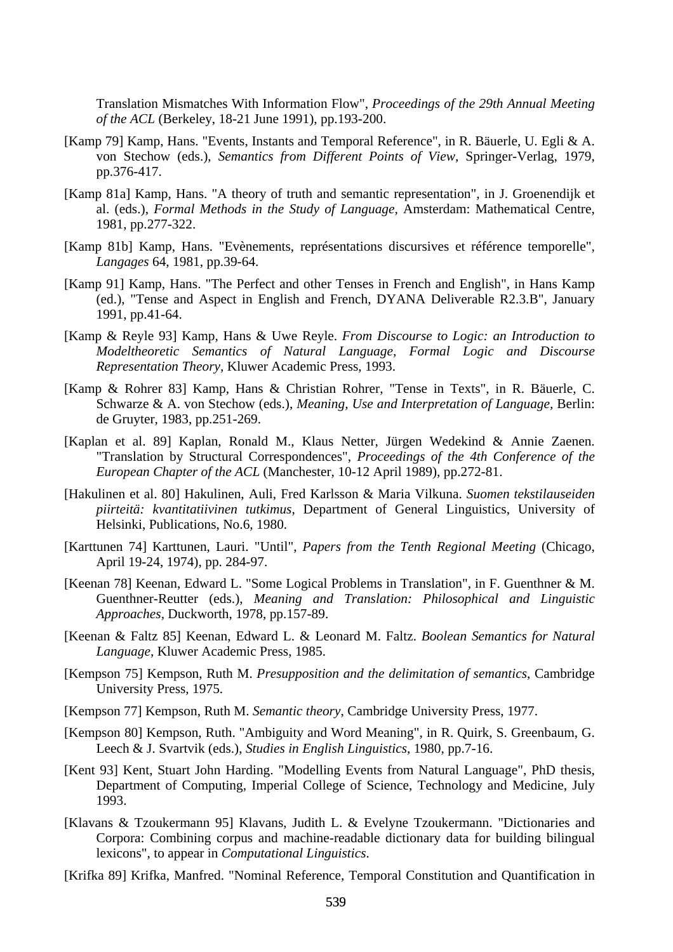Translation Mismatches With Information Flow", *Proceedings of the 29th Annual Meeting of the ACL* (Berkeley, 18-21 June 1991), pp.193-200.

- [Kamp 79] Kamp, Hans. "Events, Instants and Temporal Reference", in R. Bäuerle, U. Egli & A. von Stechow (eds.), *Semantics from Different Points of View,* Springer-Verlag, 1979, pp.376-417.
- [Kamp 81a] Kamp, Hans. "A theory of truth and semantic representation", in J. Groenendijk et al. (eds.), *Formal Methods in the Study of Language,* Amsterdam: Mathematical Centre, 1981, pp.277-322.
- [Kamp 81b] Kamp, Hans. "Evènements, représentations discursives et référence temporelle", *Langages* 64*,* 1981, pp.39-64.
- [Kamp 91] Kamp, Hans. "The Perfect and other Tenses in French and English", in Hans Kamp (ed.), "Tense and Aspect in English and French, DYANA Deliverable R2.3.B", January 1991, pp.41-64.
- [Kamp & Reyle 93] Kamp, Hans & Uwe Reyle. *From Discourse to Logic: an Introduction to Modeltheoretic Semantics of Natural Language, Formal Logic and Discourse Representation Theory,* Kluwer Academic Press, 1993.
- [Kamp & Rohrer 83] Kamp, Hans & Christian Rohrer, "Tense in Texts", in R. Bäuerle, C. Schwarze & A. von Stechow (eds.), *Meaning, Use and Interpretation of Language*, Berlin: de Gruyter, 1983, pp.251-269.
- [Kaplan et al. 89] Kaplan, Ronald M., Klaus Netter, Jürgen Wedekind & Annie Zaenen. "Translation by Structural Correspondences", *Proceedings of the 4th Conference of the European Chapter of the ACL* (Manchester, 10-12 April 1989), pp.272-81.
- [Hakulinen et al. 80] Hakulinen, Auli, Fred Karlsson & Maria Vilkuna. *Suomen tekstilauseiden piirteitä: kvantitatiivinen tutkimus*, Department of General Linguistics, University of Helsinki, Publications, No.6, 1980.
- [Karttunen 74] Karttunen, Lauri. "Until", *Papers from the Tenth Regional Meeting* (Chicago, April 19-24, 1974), pp. 284-97.
- [Keenan 78] Keenan, Edward L. "Some Logical Problems in Translation", in F. Guenthner & M. Guenthner-Reutter (eds.), *Meaning and Translation: Philosophical and Linguistic Approaches,* Duckworth, 1978, pp.157-89.
- [Keenan & Faltz 85] Keenan, Edward L. & Leonard M. Faltz. *Boolean Semantics for Natural Language*, Kluwer Academic Press, 1985.
- [Kempson 75] Kempson, Ruth M. *Presupposition and the delimitation of semantics*, Cambridge University Press, 1975.
- [Kempson 77] Kempson, Ruth M. *Semantic theory*, Cambridge University Press, 1977.
- [Kempson 80] Kempson, Ruth. "Ambiguity and Word Meaning", in R. Quirk, S. Greenbaum, G. Leech & J. Svartvik (eds.), *Studies in English Linguistics*, 1980, pp.7-16.
- [Kent 93] Kent, Stuart John Harding. "Modelling Events from Natural Language", PhD thesis, Department of Computing, Imperial College of Science, Technology and Medicine, July 1993.
- [Klavans & Tzoukermann 95] Klavans, Judith L. & Evelyne Tzoukermann. "Dictionaries and Corpora: Combining corpus and machine-readable dictionary data for building bilingual lexicons", to appear in *Computational Linguistics*.
- [Krifka 89] Krifka, Manfred. "Nominal Reference, Temporal Constitution and Quantification in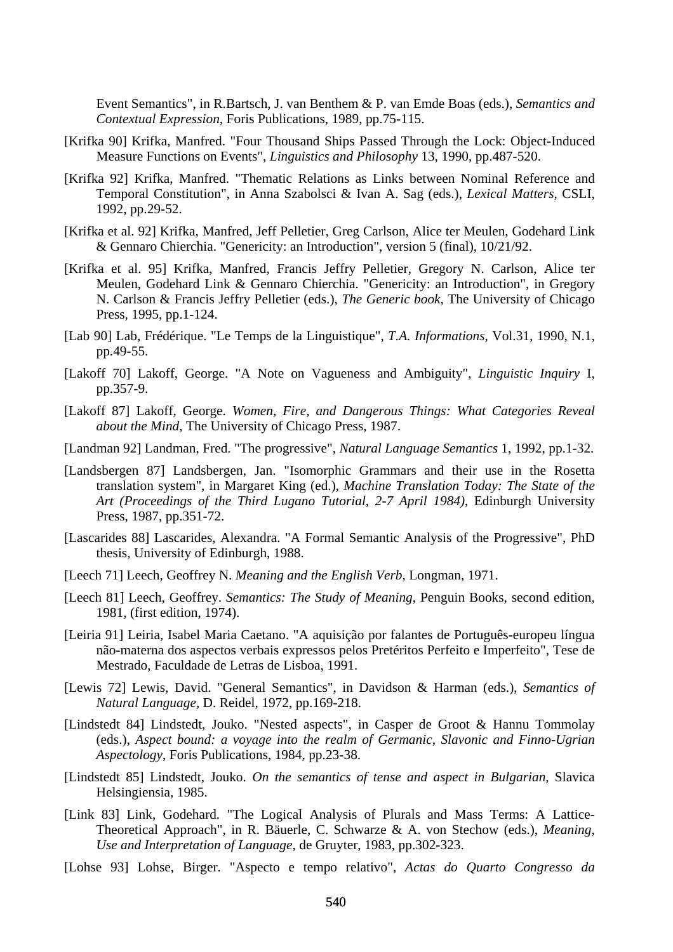Event Semantics", in R.Bartsch, J. van Benthem & P. van Emde Boas (eds.), *Semantics and Contextual Expression*, Foris Publications, 1989, pp.75-115.

- [Krifka 90] Krifka, Manfred. "Four Thousand Ships Passed Through the Lock: Object-Induced Measure Functions on Events", *Linguistics and Philosophy* 13, 1990, pp.487-520.
- [Krifka 92] Krifka, Manfred. "Thematic Relations as Links between Nominal Reference and Temporal Constitution", in Anna Szabolsci & Ivan A. Sag (eds.), *Lexical Matters*, CSLI, 1992, pp.29-52.
- [Krifka et al. 92] Krifka, Manfred, Jeff Pelletier, Greg Carlson, Alice ter Meulen, Godehard Link & Gennaro Chierchia. "Genericity: an Introduction", version 5 (final), 10/21/92.
- [Krifka et al. 95] Krifka, Manfred, Francis Jeffry Pelletier, Gregory N. Carlson, Alice ter Meulen, Godehard Link & Gennaro Chierchia. "Genericity: an Introduction", in Gregory N. Carlson & Francis Jeffry Pelletier (eds.), *The Generic book*, The University of Chicago Press, 1995, pp.1-124.
- [Lab 90] Lab, Frédérique. "Le Temps de la Linguistique", *T.A. Informations*, Vol.31, 1990, N.1, pp.49-55.
- [Lakoff 70] Lakoff, George. "A Note on Vagueness and Ambiguity", *Linguistic Inquiry* I, pp.357-9.
- [Lakoff 87] Lakoff, George. *Women, Fire, and Dangerous Things: What Categories Reveal about the Mind*, The University of Chicago Press, 1987.
- [Landman 92] Landman, Fred. "The progressive", *Natural Language Semantics* 1, 1992, pp.1-32.
- [Landsbergen 87] Landsbergen, Jan. "Isomorphic Grammars and their use in the Rosetta translation system", in Margaret King (ed.), *Machine Translation Today: The State of the Art (Proceedings of the Third Lugano Tutorial, 2-7 April 1984)*, Edinburgh University Press, 1987, pp.351-72.
- [Lascarides 88] Lascarides, Alexandra. "A Formal Semantic Analysis of the Progressive", PhD thesis, University of Edinburgh, 1988.
- [Leech 71] Leech, Geoffrey N. *Meaning and the English Verb*, Longman, 1971.
- [Leech 81] Leech, Geoffrey. *Semantics: The Study of Meaning*, Penguin Books, second edition, 1981, (first edition, 1974).
- [Leiria 91] Leiria, Isabel Maria Caetano. "A aquisição por falantes de Português-europeu língua não-materna dos aspectos verbais expressos pelos Pretéritos Perfeito e Imperfeito", Tese de Mestrado, Faculdade de Letras de Lisboa, 1991.
- [Lewis 72] Lewis, David. "General Semantics", in Davidson & Harman (eds.), *Semantics of Natural Language*, D. Reidel, 1972, pp.169-218.
- [Lindstedt 84] Lindstedt, Jouko. "Nested aspects", in Casper de Groot & Hannu Tommolay (eds.), *Aspect bound: a voyage into the realm of Germanic, Slavonic and Finno-Ugrian Aspectology*, Foris Publications, 1984, pp.23-38.
- [Lindstedt 85] Lindstedt, Jouko. *On the semantics of tense and aspect in Bulgarian*, Slavica Helsingiensia, 1985.
- [Link 83] Link, Godehard. "The Logical Analysis of Plurals and Mass Terms: A Lattice-Theoretical Approach", in R. Bäuerle, C. Schwarze & A. von Stechow (eds.), *Meaning, Use and Interpretation of Language*, de Gruyter, 1983, pp.302-323.
- [Lohse 93] Lohse, Birger. "Aspecto e tempo relativo", *Actas do Quarto Congresso da*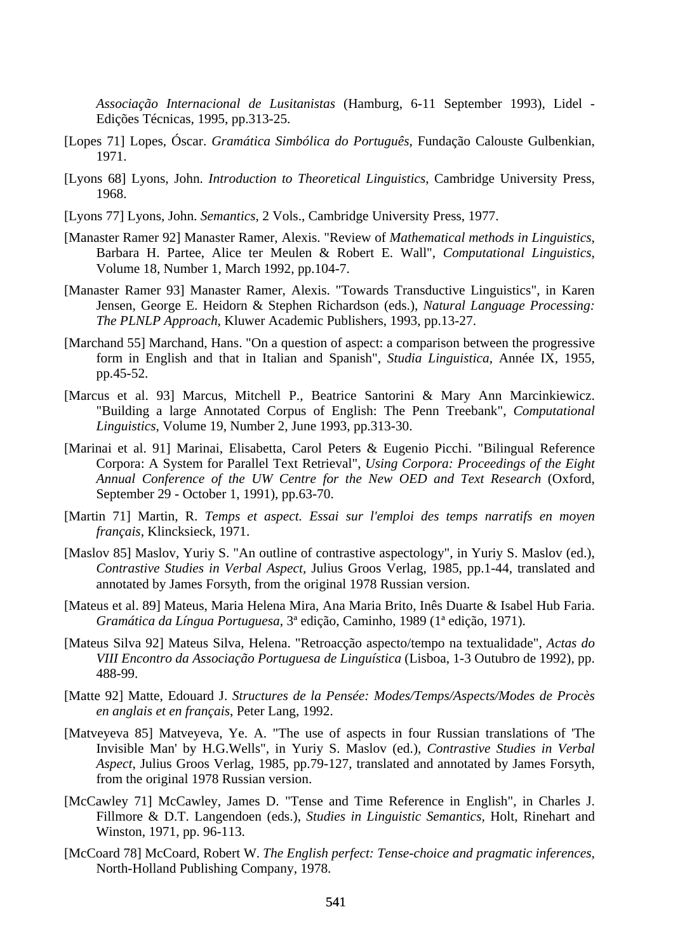*Associação Internacional de Lusitanistas* (Hamburg, 6-11 September 1993), Lidel - Edições Técnicas, 1995, pp.313-25.

- [Lopes 71] Lopes, Óscar. *Gramática Simbólica do Português*, Fundação Calouste Gulbenkian, 1971.
- [Lyons 68] Lyons, John. *Introduction to Theoretical Linguistics*, Cambridge University Press, 1968.
- [Lyons 77] Lyons, John. *Semantics*, 2 Vols., Cambridge University Press, 1977.
- [Manaster Ramer 92] Manaster Ramer, Alexis. "Review of *Mathematical methods in Linguistics*, Barbara H. Partee, Alice ter Meulen & Robert E. Wall", *Computational Linguistics*, Volume 18, Number 1, March 1992, pp.104-7.
- [Manaster Ramer 93] Manaster Ramer, Alexis. "Towards Transductive Linguistics", in Karen Jensen, George E. Heidorn & Stephen Richardson (eds.), *Natural Language Processing: The PLNLP Approach*, Kluwer Academic Publishers, 1993, pp.13-27.
- [Marchand 55] Marchand, Hans. "On a question of aspect: a comparison between the progressive form in English and that in Italian and Spanish", *Studia Linguistica*, Année IX, 1955, pp.45-52.
- [Marcus et al. 93] Marcus, Mitchell P., Beatrice Santorini & Mary Ann Marcinkiewicz. "Building a large Annotated Corpus of English: The Penn Treebank", *Computational Linguistics*, Volume 19, Number 2, June 1993, pp.313-30.
- [Marinai et al. 91] Marinai, Elisabetta, Carol Peters & Eugenio Picchi. "Bilingual Reference Corpora: A System for Parallel Text Retrieval", *Using Corpora: Proceedings of the Eight Annual Conference of the UW Centre for the New OED and Text Research* (Oxford, September 29 - October 1, 1991), pp.63-70.
- [Martin 71] Martin, R. *Temps et aspect. Essai sur l'emploi des temps narratifs en moyen français*, Klincksieck, 1971.
- [Maslov 85] Maslov, Yuriy S. "An outline of contrastive aspectology", in Yuriy S. Maslov (ed.), *Contrastive Studies in Verbal Aspect*, Julius Groos Verlag, 1985, pp.1-44, translated and annotated by James Forsyth, from the original 1978 Russian version.
- [Mateus et al. 89] Mateus, Maria Helena Mira, Ana Maria Brito, Inês Duarte & Isabel Hub Faria. *Gramática da Língua Portuguesa*, 3ª edição, Caminho, 1989 (1ª edição, 1971).
- [Mateus Silva 92] Mateus Silva, Helena. "Retroacção aspecto/tempo na textualidade", *Actas do VIII Encontro da Associação Portuguesa de Linguística* (Lisboa, 1-3 Outubro de 1992), pp. 488-99.
- [Matte 92] Matte, Edouard J. *Structures de la Pensée: Modes/Temps/Aspects/Modes de Procès en anglais et en français*, Peter Lang, 1992.
- [Matveyeva 85] Matveyeva, Ye. A. "The use of aspects in four Russian translations of 'The Invisible Man' by H.G.Wells", in Yuriy S. Maslov (ed.), *Contrastive Studies in Verbal Aspect*, Julius Groos Verlag, 1985, pp.79-127, translated and annotated by James Forsyth, from the original 1978 Russian version.
- [McCawley 71] McCawley, James D. "Tense and Time Reference in English", in Charles J. Fillmore & D.T. Langendoen (eds.), *Studies in Linguistic Semantics,* Holt, Rinehart and Winston, 1971, pp. 96-113.
- [McCoard 78] McCoard, Robert W. *The English perfect: Tense-choice and pragmatic inferences,*  North-Holland Publishing Company, 1978.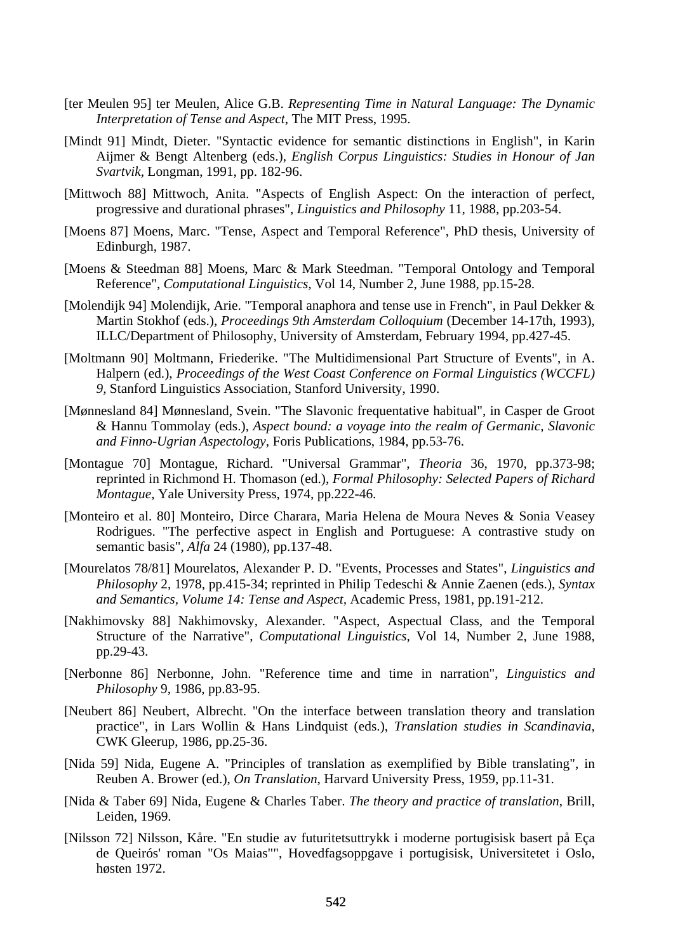- [ter Meulen 95] ter Meulen, Alice G.B. *Representing Time in Natural Language: The Dynamic Interpretation of Tense and Aspect*, The MIT Press, 1995.
- [Mindt 91] Mindt, Dieter. "Syntactic evidence for semantic distinctions in English", in Karin Aijmer & Bengt Altenberg (eds.), *English Corpus Linguistics: Studies in Honour of Jan Svartvik,* Longman, 1991, pp. 182-96.
- [Mittwoch 88] Mittwoch, Anita. "Aspects of English Aspect: On the interaction of perfect, progressive and durational phrases", *Linguistics and Philosophy* 11*,* 1988, pp.203-54.
- [Moens 87] Moens, Marc. "Tense, Aspect and Temporal Reference", PhD thesis, University of Edinburgh, 1987.
- [Moens & Steedman 88] Moens, Marc & Mark Steedman. "Temporal Ontology and Temporal Reference", *Computational Linguistics,* Vol 14, Number 2, June 1988, pp.15-28.
- [Molendijk 94] Molendijk, Arie. "Temporal anaphora and tense use in French", in Paul Dekker & Martin Stokhof (eds.), *Proceedings 9th Amsterdam Colloquium* (December 14-17th, 1993), ILLC/Department of Philosophy, University of Amsterdam, February 1994, pp.427-45.
- [Moltmann 90] Moltmann, Friederike. "The Multidimensional Part Structure of Events", in A. Halpern (ed.), *Proceedings of the West Coast Conference on Formal Linguistics (WCCFL) 9,* Stanford Linguistics Association, Stanford University, 1990.
- [Mønnesland 84] Mønnesland, Svein. "The Slavonic frequentative habitual", in Casper de Groot & Hannu Tommolay (eds.), *Aspect bound: a voyage into the realm of Germanic, Slavonic and Finno-Ugrian Aspectology,* Foris Publications, 1984, pp.53-76.
- [Montague 70] Montague, Richard. "Universal Grammar", *Theoria* 36, 1970, pp.373-98; reprinted in Richmond H. Thomason (ed.), *Formal Philosophy: Selected Papers of Richard Montague*, Yale University Press, 1974, pp.222-46.
- [Monteiro et al. 80] Monteiro, Dirce Charara, Maria Helena de Moura Neves & Sonia Veasey Rodrigues. "The perfective aspect in English and Portuguese: A contrastive study on semantic basis", *Alfa* 24 (1980), pp.137-48.
- [Mourelatos 78/81] Mourelatos, Alexander P. D. "Events, Processes and States", *Linguistics and Philosophy* 2, 1978, pp.415-34; reprinted in Philip Tedeschi & Annie Zaenen (eds.), *Syntax and Semantics, Volume 14: Tense and Aspect,* Academic Press, 1981, pp.191-212.
- [Nakhimovsky 88] Nakhimovsky, Alexander. "Aspect, Aspectual Class, and the Temporal Structure of the Narrative", *Computational Linguistics,* Vol 14, Number 2, June 1988, pp.29-43.
- [Nerbonne 86] Nerbonne, John. "Reference time and time in narration", *Linguistics and Philosophy* 9, 1986, pp.83-95.
- [Neubert 86] Neubert, Albrecht. "On the interface between translation theory and translation practice", in Lars Wollin & Hans Lindquist (eds.), *Translation studies in Scandinavia*, CWK Gleerup, 1986, pp.25-36.
- [Nida 59] Nida, Eugene A. "Principles of translation as exemplified by Bible translating", in Reuben A. Brower (ed.), *On Translation*, Harvard University Press, 1959, pp.11-31.
- [Nida & Taber 69] Nida, Eugene & Charles Taber. *The theory and practice of translation*, Brill, Leiden, 1969.
- [Nilsson 72] Nilsson, Kåre. "En studie av futuritetsuttrykk i moderne portugisisk basert på Eça de Queirós' roman "Os Maias"", Hovedfagsoppgave i portugisisk, Universitetet i Oslo, høsten 1972.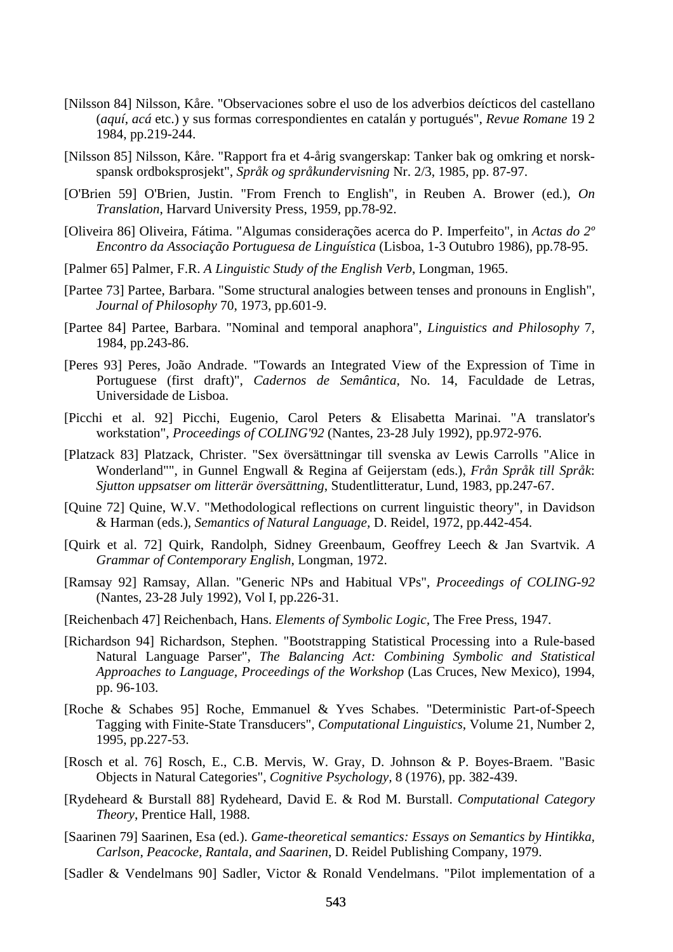- [Nilsson 84] Nilsson, Kåre. "Observaciones sobre el uso de los adverbios deícticos del castellano (*aquí*, *acá* etc.) y sus formas correspondientes en catalán y portugués", *Revue Romane* 19 2 1984, pp.219-244.
- [Nilsson 85] Nilsson, Kåre. "Rapport fra et 4-årig svangerskap: Tanker bak og omkring et norskspansk ordboksprosjekt", *Språk og språkundervisning* Nr. 2/3, 1985, pp. 87-97.
- [O'Brien 59] O'Brien, Justin. "From French to English", in Reuben A. Brower (ed.), *On Translation*, Harvard University Press, 1959, pp.78-92.
- [Oliveira 86] Oliveira, Fátima. "Algumas considerações acerca do P. Imperfeito", in *Actas do 2º Encontro da Associação Portuguesa de Linguística* (Lisboa, 1-3 Outubro 1986), pp.78-95.
- [Palmer 65] Palmer, F.R. *A Linguistic Study of the English Verb*, Longman, 1965.
- [Partee 73] Partee, Barbara. "Some structural analogies between tenses and pronouns in English", *Journal of Philosophy* 70, 1973, pp.601-9.
- [Partee 84] Partee, Barbara. "Nominal and temporal anaphora", *Linguistics and Philosophy* 7*,*  1984, pp.243-86.
- [Peres 93] Peres, João Andrade. "Towards an Integrated View of the Expression of Time in Portuguese (first draft)", *Cadernos de Semântica,* No. 14, Faculdade de Letras, Universidade de Lisboa.
- [Picchi et al. 92] Picchi, Eugenio, Carol Peters & Elisabetta Marinai. "A translator's workstation", *Proceedings of COLING'92* (Nantes, 23-28 July 1992), pp.972-976.
- [Platzack 83] Platzack, Christer. "Sex översättningar till svenska av Lewis Carrolls "Alice in Wonderland"", in Gunnel Engwall & Regina af Geijerstam (eds.), *Från Språk till Språk*: *Sjutton uppsatser om litterär översättning*, Studentlitteratur, Lund, 1983, pp.247-67.
- [Quine 72] Quine, W.V. "Methodological reflections on current linguistic theory", in Davidson & Harman (eds.), *Semantics of Natural Language,* D. Reidel, 1972, pp.442-454.
- [Quirk et al. 72] Quirk, Randolph, Sidney Greenbaum, Geoffrey Leech & Jan Svartvik. *A Grammar of Contemporary English*, Longman, 1972.
- [Ramsay 92] Ramsay, Allan. "Generic NPs and Habitual VPs", *Proceedings of COLING-92*  (Nantes, 23-28 July 1992), Vol I, pp.226-31.
- [Reichenbach 47] Reichenbach, Hans. *Elements of Symbolic Logic,* The Free Press, 1947.
- [Richardson 94] Richardson, Stephen. "Bootstrapping Statistical Processing into a Rule-based Natural Language Parser", *The Balancing Act: Combining Symbolic and Statistical Approaches to Language, Proceedings of the Workshop* (Las Cruces, New Mexico), 1994, pp. 96-103.
- [Roche & Schabes 95] Roche, Emmanuel & Yves Schabes. "Deterministic Part-of-Speech Tagging with Finite-State Transducers", *Computational Linguistics*, Volume 21, Number 2, 1995, pp.227-53.
- [Rosch et al. 76] Rosch, E., C.B. Mervis, W. Gray, D. Johnson & P. Boyes-Braem. "Basic Objects in Natural Categories", *Cognitive Psychology,* 8 (1976), pp. 382-439.
- [Rydeheard & Burstall 88] Rydeheard, David E. & Rod M. Burstall. *Computational Category Theory*, Prentice Hall, 1988.
- [Saarinen 79] Saarinen, Esa (ed.). *Game-theoretical semantics: Essays on Semantics by Hintikka, Carlson, Peacocke, Rantala, and Saarinen*, D. Reidel Publishing Company, 1979.
- [Sadler & Vendelmans 90] Sadler, Victor & Ronald Vendelmans. "Pilot implementation of a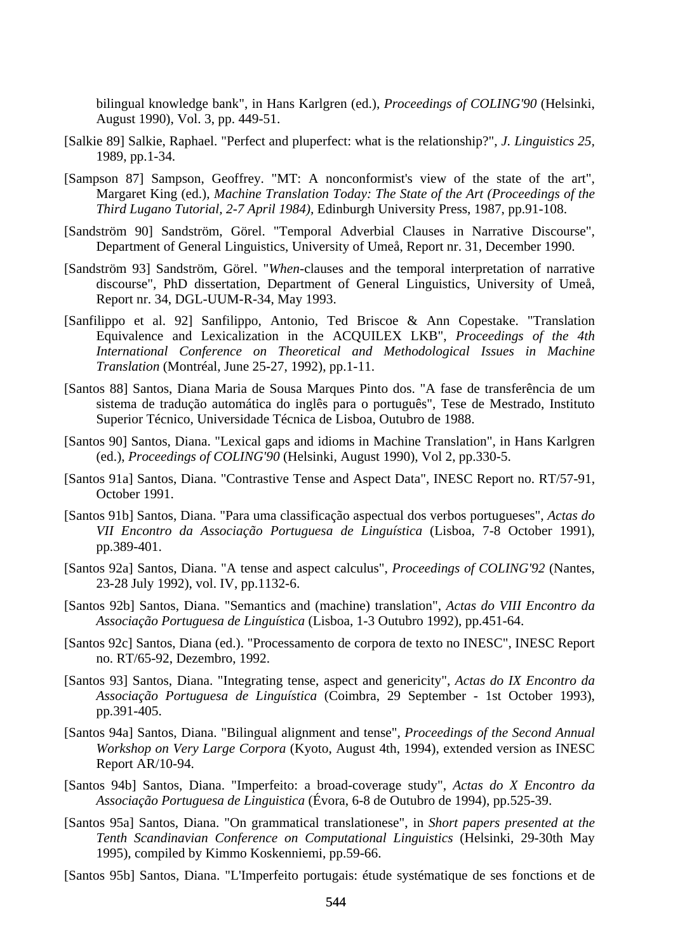bilingual knowledge bank", in Hans Karlgren (ed.), *Proceedings of COLING'90* (Helsinki, August 1990), Vol. 3, pp. 449-51.

- [Salkie 89] Salkie, Raphael. "Perfect and pluperfect: what is the relationship?", *J. Linguistics 25,*  1989, pp.1-34.
- [Sampson 87] Sampson, Geoffrey. "MT: A nonconformist's view of the state of the art", Margaret King (ed.), *Machine Translation Today: The State of the Art (Proceedings of the Third Lugano Tutorial, 2-7 April 1984),* Edinburgh University Press, 1987, pp.91-108.
- [Sandström 90] Sandström, Görel. "Temporal Adverbial Clauses in Narrative Discourse", Department of General Linguistics, University of Umeå, Report nr. 31, December 1990.
- [Sandström 93] Sandström, Görel. "*When*-clauses and the temporal interpretation of narrative discourse", PhD dissertation, Department of General Linguistics, University of Umeå, Report nr. 34, DGL-UUM-R-34, May 1993.
- [Sanfilippo et al. 92] Sanfilippo, Antonio, Ted Briscoe & Ann Copestake. "Translation Equivalence and Lexicalization in the ACQUILEX LKB", *Proceedings of the 4th International Conference on Theoretical and Methodological Issues in Machine Translation* (Montréal, June 25-27, 1992), pp.1-11.
- [Santos 88] Santos, Diana Maria de Sousa Marques Pinto dos. "A fase de transferência de um sistema de tradução automática do inglês para o português", Tese de Mestrado, Instituto Superior Técnico, Universidade Técnica de Lisboa, Outubro de 1988.
- [Santos 90] Santos, Diana. "Lexical gaps and idioms in Machine Translation", in Hans Karlgren (ed.), *Proceedings of COLING'90* (Helsinki, August 1990), Vol 2, pp.330-5.
- [Santos 91a] Santos, Diana. "Contrastive Tense and Aspect Data", INESC Report no. RT/57-91, October 1991.
- [Santos 91b] Santos, Diana. "Para uma classificação aspectual dos verbos portugueses", *Actas do VII Encontro da Associação Portuguesa de Linguística* (Lisboa, 7-8 October 1991), pp.389-401.
- [Santos 92a] Santos, Diana. "A tense and aspect calculus", *Proceedings of COLING'92* (Nantes, 23-28 July 1992), vol. IV, pp.1132-6.
- [Santos 92b] Santos, Diana. "Semantics and (machine) translation", *Actas do VIII Encontro da Associação Portuguesa de Linguística* (Lisboa, 1-3 Outubro 1992), pp.451-64.
- [Santos 92c] Santos, Diana (ed.). "Processamento de corpora de texto no INESC", INESC Report no. RT/65-92, Dezembro, 1992.
- [Santos 93] Santos, Diana. "Integrating tense, aspect and genericity", *Actas do IX Encontro da Associação Portuguesa de Linguística* (Coimbra, 29 September - 1st October 1993), pp.391-405.
- [Santos 94a] Santos, Diana. "Bilingual alignment and tense", *Proceedings of the Second Annual Workshop on Very Large Corpora* (Kyoto, August 4th, 1994), extended version as INESC Report AR/10-94.
- [Santos 94b] Santos, Diana. "Imperfeito: a broad-coverage study", *Actas do X Encontro da Associação Portuguesa de Linguistica* (Évora, 6-8 de Outubro de 1994), pp.525-39.
- [Santos 95a] Santos, Diana. "On grammatical translationese", in *Short papers presented at the Tenth Scandinavian Conference on Computational Linguistics* (Helsinki, 29-30th May 1995), compiled by Kimmo Koskenniemi, pp.59-66.
- [Santos 95b] Santos, Diana. "L'Imperfeito portugais: étude systématique de ses fonctions et de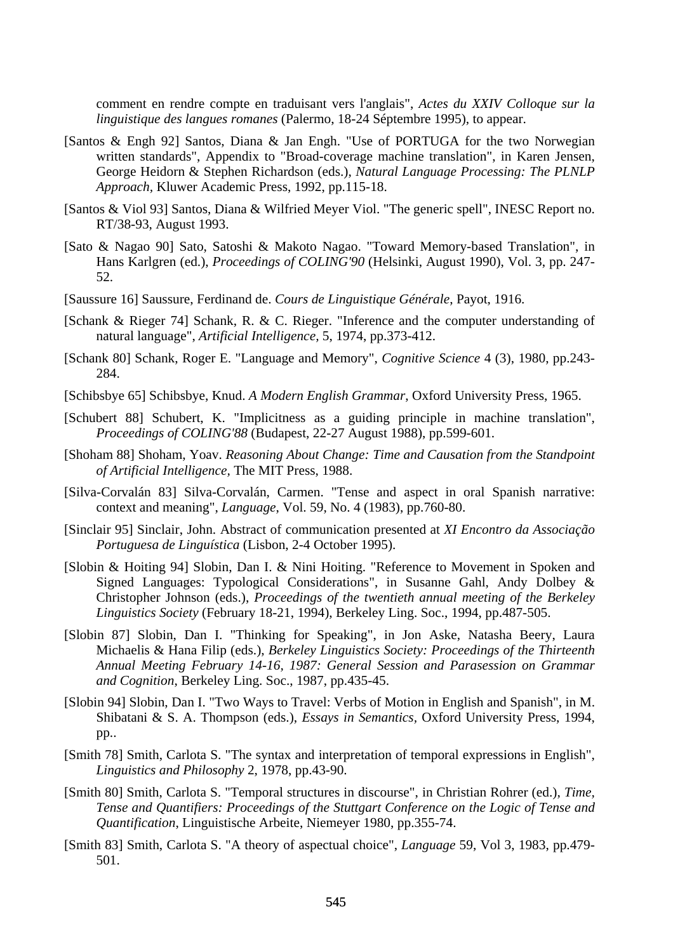comment en rendre compte en traduisant vers l'anglais", *Actes du XXIV Colloque sur la linguistique des langues romanes* (Palermo, 18-24 Séptembre 1995), to appear.

- [Santos & Engh 92] Santos, Diana & Jan Engh. "Use of PORTUGA for the two Norwegian written standards", Appendix to "Broad-coverage machine translation", in Karen Jensen, George Heidorn & Stephen Richardson (eds.), *Natural Language Processing: The PLNLP Approach,* Kluwer Academic Press, 1992, pp.115-18.
- [Santos & Viol 93] Santos, Diana & Wilfried Meyer Viol. "The generic spell", INESC Report no. RT/38-93, August 1993.
- [Sato & Nagao 90] Sato, Satoshi & Makoto Nagao. "Toward Memory-based Translation", in Hans Karlgren (ed.), *Proceedings of COLING'90* (Helsinki, August 1990), Vol. 3, pp. 247- 52.
- [Saussure 16] Saussure, Ferdinand de. *Cours de Linguistique Générale*, Payot, 1916.
- [Schank & Rieger 74] Schank, R. & C. Rieger. "Inference and the computer understanding of natural language", *Artificial Intelligence,* 5, 1974, pp.373-412.
- [Schank 80] Schank, Roger E. "Language and Memory", *Cognitive Science* 4 (3), 1980, pp.243- 284.
- [Schibsbye 65] Schibsbye, Knud. *A Modern English Grammar*, Oxford University Press, 1965.
- [Schubert 88] Schubert, K. "Implicitness as a guiding principle in machine translation", *Proceedings of COLING'88* (Budapest, 22-27 August 1988), pp.599-601.
- [Shoham 88] Shoham, Yoav. *Reasoning About Change: Time and Causation from the Standpoint of Artificial Intelligence,* The MIT Press, 1988.
- [Silva-Corvalán 83] Silva-Corvalán, Carmen. "Tense and aspect in oral Spanish narrative: context and meaning", *Language*, Vol. 59, No. 4 (1983), pp.760-80.
- [Sinclair 95] Sinclair, John. Abstract of communication presented at *XI Encontro da Associação Portuguesa de Linguística* (Lisbon, 2-4 October 1995).
- [Slobin & Hoiting 94] Slobin, Dan I. & Nini Hoiting. "Reference to Movement in Spoken and Signed Languages: Typological Considerations", in Susanne Gahl, Andy Dolbey & Christopher Johnson (eds.), *Proceedings of the twentieth annual meeting of the Berkeley Linguistics Society* (February 18-21, 1994), Berkeley Ling. Soc., 1994, pp.487-505.
- [Slobin 87] Slobin, Dan I. "Thinking for Speaking", in Jon Aske, Natasha Beery, Laura Michaelis & Hana Filip (eds.), *Berkeley Linguistics Society: Proceedings of the Thirteenth Annual Meeting February 14-16, 1987: General Session and Parasession on Grammar and Cognition*, Berkeley Ling. Soc., 1987, pp.435-45.
- [Slobin 94] Slobin, Dan I. "Two Ways to Travel: Verbs of Motion in English and Spanish", in M. Shibatani & S. A. Thompson (eds.), *Essays in Semantics,* Oxford University Press, 1994, pp..
- [Smith 78] Smith, Carlota S. "The syntax and interpretation of temporal expressions in English", *Linguistics and Philosophy* 2, 1978, pp.43-90.
- [Smith 80] Smith, Carlota S. "Temporal structures in discourse", in Christian Rohrer (ed.), *Time, Tense and Quantifiers: Proceedings of the Stuttgart Conference on the Logic of Tense and Quantification*, Linguistische Arbeite, Niemeyer 1980, pp.355-74.
- [Smith 83] Smith, Carlota S. "A theory of aspectual choice", *Language* 59, Vol 3, 1983, pp.479- 501.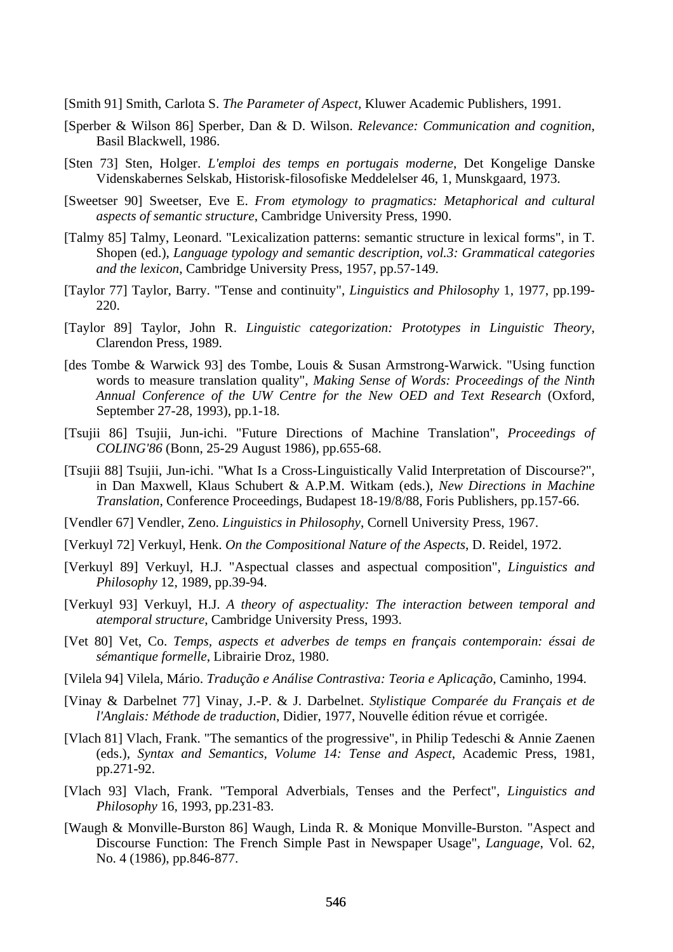[Smith 91] Smith, Carlota S. *The Parameter of Aspect,* Kluwer Academic Publishers, 1991.

- [Sperber & Wilson 86] Sperber, Dan & D. Wilson. *Relevance: Communication and cognition*, Basil Blackwell, 1986.
- [Sten 73] Sten, Holger. *L'emploi des temps en portugais moderne*, Det Kongelige Danske Videnskabernes Selskab, Historisk-filosofiske Meddelelser 46, 1, Munskgaard, 1973.
- [Sweetser 90] Sweetser, Eve E. *From etymology to pragmatics: Metaphorical and cultural aspects of semantic structure*, Cambridge University Press, 1990.
- [Talmy 85] Talmy, Leonard. "Lexicalization patterns: semantic structure in lexical forms", in T. Shopen (ed.), *Language typology and semantic description, vol.3: Grammatical categories and the lexicon*, Cambridge University Press, 1957, pp.57-149.
- [Taylor 77] Taylor, Barry. "Tense and continuity", *Linguistics and Philosophy* 1, 1977, pp.199- 220.
- [Taylor 89] Taylor, John R. *Linguistic categorization: Prototypes in Linguistic Theory*, Clarendon Press, 1989.
- [des Tombe & Warwick 93] des Tombe, Louis & Susan Armstrong-Warwick. "Using function words to measure translation quality", *Making Sense of Words: Proceedings of the Ninth Annual Conference of the UW Centre for the New OED and Text Research* (Oxford, September 27-28, 1993), pp.1-18.
- [Tsujii 86] Tsujii, Jun-ichi. "Future Directions of Machine Translation", *Proceedings of COLING'86* (Bonn, 25-29 August 1986), pp.655-68.
- [Tsujii 88] Tsujii, Jun-ichi. "What Is a Cross-Linguistically Valid Interpretation of Discourse?", in Dan Maxwell, Klaus Schubert & A.P.M. Witkam (eds.), *New Directions in Machine Translation*, Conference Proceedings, Budapest 18-19/8/88, Foris Publishers, pp.157-66.
- [Vendler 67] Vendler, Zeno. *Linguistics in Philosophy*, Cornell University Press, 1967.
- [Verkuyl 72] Verkuyl, Henk. *On the Compositional Nature of the Aspects*, D. Reidel, 1972.
- [Verkuyl 89] Verkuyl, H.J. "Aspectual classes and aspectual composition", *Linguistics and Philosophy* 12, 1989, pp.39-94.
- [Verkuyl 93] Verkuyl, H.J. *A theory of aspectuality: The interaction between temporal and atemporal structure*, Cambridge University Press, 1993.
- [Vet 80] Vet, Co. *Temps, aspects et adverbes de temps en français contemporain: éssai de sémantique formelle*, Librairie Droz, 1980.
- [Vilela 94] Vilela, Mário. *Tradução e Análise Contrastiva: Teoria e Aplicação*, Caminho, 1994.
- [Vinay & Darbelnet 77] Vinay, J.-P. & J. Darbelnet. *Stylistique Comparée du Français et de l'Anglais: Méthode de traduction*, Didier, 1977, Nouvelle édition révue et corrigée.
- [Vlach 81] Vlach, Frank. "The semantics of the progressive", in Philip Tedeschi & Annie Zaenen (eds.), *Syntax and Semantics, Volume 14: Tense and Aspect*, Academic Press, 1981, pp.271-92.
- [Vlach 93] Vlach, Frank. "Temporal Adverbials, Tenses and the Perfect", *Linguistics and Philosophy* 16*,* 1993, pp.231-83.
- [Waugh & Monville-Burston 86] Waugh, Linda R. & Monique Monville-Burston. "Aspect and Discourse Function: The French Simple Past in Newspaper Usage", *Language*, Vol. 62, No. 4 (1986), pp.846-877.